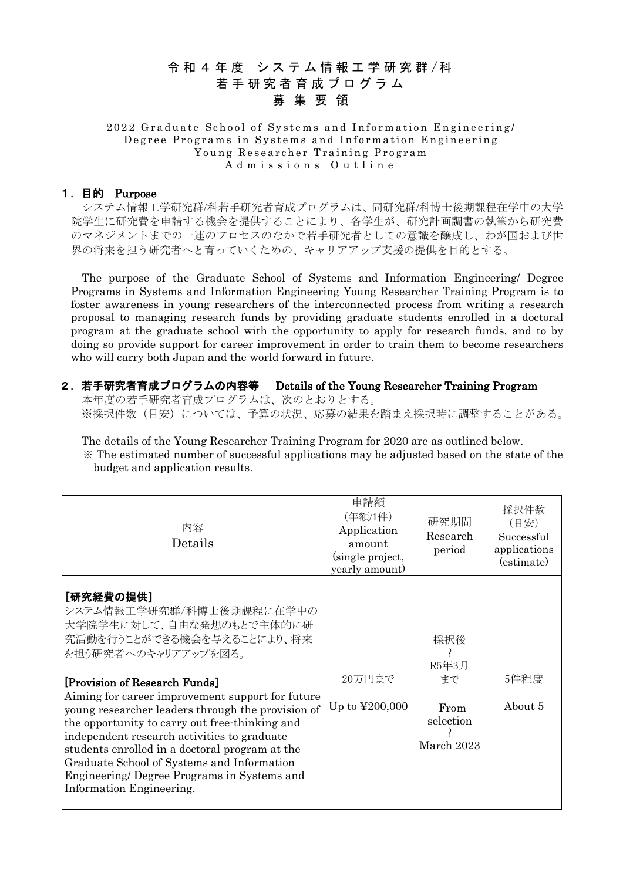# 令和 4 年度 システム情報工学研究群/科 若手研究者育成 プログラム 募集要 領

#### 2022 Graduate School of Systems and Information Engineering/ Degree Programs in Systems and Information Engineering Young Researcher Training Program Admissions Outline

#### 1.目的 Purpose

システム情報工学研究群/科若手研究者育成プログラムは、同研究群/科博士後期課程在学中の大学 院学生に研究費を申請する機会を提供することにより、各学生が、研究計画調書の執筆から研究費 のマネジメントまでの一連のプロセスのなかで若手研究者としての意識を醸成し、わが国および世 界の将来を担う研究者へと育っていくための、キャリアアップ支援の提供を目的とする。

The purpose of the Graduate School of Systems and Information Engineering/ Degree Programs in Systems and Information Engineering Young Researcher Training Program is to foster awareness in young researchers of the interconnected process from writing a research proposal to managing research funds by providing graduate students enrolled in a doctoral program at the graduate school with the opportunity to apply for research funds, and to by doing so provide support for career improvement in order to train them to become researchers who will carry both Japan and the world forward in future.

## 2.若手研究者育成プログラムの内容等 Details of the Young Researcher Training Program

本年度の若手研究者育成プログラムは、次のとおりとする。 ※採択件数(目安)については、予算の状況、応募の結果を踏まえ採択時に調整することがある。

The details of the Young Researcher Training Program for 2020 are as outlined below. ※ The estimated number of successful applications may be adjusted based on the state of the budget and application results.

| 内容<br>Details                                                                                                                                                                                                                                                                                                                                                                                                                                                                                                                               | 申請額<br>(年額/1件)<br>Application<br>amount<br>(single project,<br>yearly amount) | 研究期間<br>Research<br>period                            | 採択件数<br>(目安)<br>Successful<br>applications<br>(estimate) |
|---------------------------------------------------------------------------------------------------------------------------------------------------------------------------------------------------------------------------------------------------------------------------------------------------------------------------------------------------------------------------------------------------------------------------------------------------------------------------------------------------------------------------------------------|-------------------------------------------------------------------------------|-------------------------------------------------------|----------------------------------------------------------|
| [研究経費の提供]<br>システム情報工学研究群/科博士後期課程に在学中の<br>大学院学生に対して、自由な発想のもとで主体的に研<br>究活動を行うことができる機会を与えることにより、将来<br>を担う研究者へのキャリアアップを図る。<br>[Provision of Research Funds]<br>Aiming for career improvement support for future<br>young researcher leaders through the provision of<br>the opportunity to carry out free-thinking and<br>independent research activities to graduate<br>students enrolled in a doctoral program at the<br>Graduate School of Systems and Information<br>Engineering/Degree Programs in Systems and<br>Information Engineering. | 20万円まで<br>Up to $\text{\textsterling}200,000$                                 | 採択後<br>R5年3月<br>まで<br>From<br>selection<br>March 2023 | 5件程度<br>About 5                                          |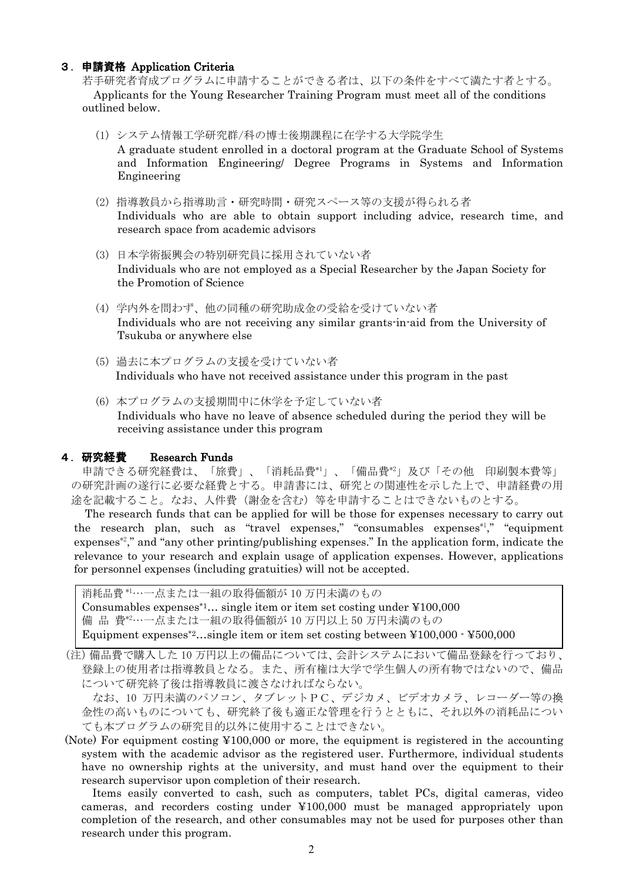#### 3.申請資格 Application Criteria

若手研究者育成プログラムに申請することができる者は、以下の条件をすべて満たす者とする。 Applicants for the Young Researcher Training Program must meet all of the conditions outlined below.

(1) システム情報工学研究群/科の博士後期課程に在学する大学院学生

A graduate student enrolled in a doctoral program at the Graduate School of Systems and Information Engineering/ Degree Programs in Systems and Information Engineering

- (2) 指導教員から指導助言・研究時間・研究スペース等の支援が得られる者 Individuals who are able to obtain support including advice, research time, and research space from academic advisors
- (3) 日本学術振興会の特別研究員に採用されていない者 Individuals who are not employed as a Special Researcher by the Japan Society for the Promotion of Science
- (4) 学内外を問わず、他の同種の研究助成金の受給を受けていない者 Individuals who are not receiving any similar grants-in-aid from the University of Tsukuba or anywhere else
- (5) 過去に本プログラムの支援を受けていない者 Individuals who have not received assistance under this program in the past
- (6) 本プログラムの支援期間中に休学を予定していない者 Individuals who have no leave of absence scheduled during the period they will be receiving assistance under this program

#### 4.研究経費 Research Funds

申請できる研究経費は、「旅費」、「消耗品費\*1」、「備品費\*2」及び「その他 印刷製本費等」 の研究計画の遂行に必要な経費とする。申請書には、研究との関連性を示した上で、申請経費の用 途を記載すること。なお、人件費(謝金を含む)等を申請することはできないものとする。

The research funds that can be applied for will be those for expenses necessary to carry out the research plan, such as "travel expenses," "consumables expenses<sup>\*1</sup>," "equipment expenses<sup> $\mathscr{L}$ </sup>," and "any other printing/publishing expenses." In the application form, indicate the relevance to your research and explain usage of application expenses. However, applications for personnel expenses (including gratuities) will not be accepted.

消耗品費 \*1…一点または一組の取得価額が 10 万円未満のもの Consumables expenses<sup>\*1</sup>... single item or item set costing under  $\text{\textless{100,000}}$ 備 品 費\*2…一点または一組の取得価額が 10 万円以上 50 万円未満のもの Equipment expenses<sup>\*2</sup>...single item or item set costing between  $\text{\textless{100,000}}$   $\cdot$  ¥500,000

(注)備品費で購入した 10 万円以上の備品については、会計システムにおいて備品登録を行っており、 登録上の使用者は指導教員となる。また、所有権は大学で学生個人の所有物ではないので、備品 について研究終了後は指導教員に渡さなければならない。

なお、10 万円未満のパソコン、タブレットPC、デジカメ、ビデオカメラ、レコーダー等の換 金性の高いものについても、研究終了後も適正な管理を行うとともに、それ以外の消耗品につい ても本プログラムの研究目的以外に使用することはできない。

(Note) For equipment costing ¥100,000 or more, the equipment is registered in the accounting system with the academic advisor as the registered user. Furthermore, individual students have no ownership rights at the university, and must hand over the equipment to their research supervisor upon completion of their research.

Items easily converted to cash, such as computers, tablet PCs, digital cameras, video cameras, and recorders costing under ¥100,000 must be managed appropriately upon completion of the research, and other consumables may not be used for purposes other than research under this program.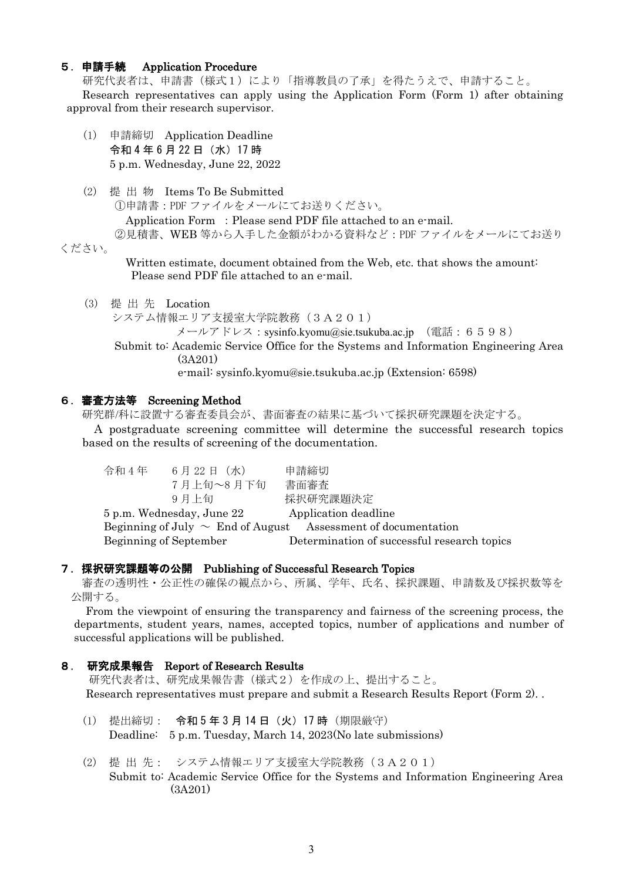#### 5.申請手続 Application Procedure

研究代表者は、申請書(様式1)により「指導教員の了承」を得たうえで、申請すること。 Research representatives can apply using the Application Form (Form 1) after obtaining approval from their research supervisor.

- (1) 申請締切 Application Deadline 令和 4 年 6 月 22 日(水)17 時 5 p.m. Wednesday, June 22, 2022
- (2) 提 出 物 Items To Be Submitted

①申請書:PDF ファイルをメールにてお送りください。

Application Form : Please send PDF file attached to an e-mail.

②見積書、WEB 等から入手した金額がわかる資料など:PDF ファイルをメールにてお送り ください。

> Written estimate, document obtained from the Web, etc. that shows the amount: Please send PDF file attached to an e-mail.

- (3) 提 出 先 Location
	- システム情報エリア支援室大学院教務 (3A201)

メールアドレス: sysinfo.kyomu@sie.tsukuba.ac.jp (電話: 6598)

Submit to: Academic Service Office for the Systems and Information Engineering Area (3A201)

e-mail: sysinfo.kyomu@sie.tsukuba.ac.jp (Extension: 6598)

## 6.審査方法等 Screening Method

研究群/科に設置する審査委員会が、書面審査の結果に基づいて採択研究課題を決定する。

A postgraduate screening committee will determine the successful research topics based on the results of screening of the documentation.

| 令和 4 年 | 6月22日(水)                  | 申請締切                                                               |
|--------|---------------------------|--------------------------------------------------------------------|
|        | 7月上旬~8月下旬                 | 書面審査                                                               |
|        | 9月上旬                      | 採択研究課題決定                                                           |
|        | 5 p.m. Wednesday, June 22 | Application deadline                                               |
|        |                           | Beginning of July $\sim$ End of August Assessment of documentation |
|        | Beginning of September    | Determination of successful research topics                        |

### 7.採択研究課題等の公開 Publishing of Successful Research Topics

審査の透明性・公正性の確保の観点から、所属、学年、氏名、採択課題、申請数及び採択数等を 公開する。

From the viewpoint of ensuring the transparency and fairness of the screening process, the departments, student years, names, accepted topics, number of applications and number of successful applications will be published.

## 8. 研究成果報告 Report of Research Results

研究代表者は、研究成果報告書(様式2)を作成の上、提出すること。 Research representatives must prepare and submit a Research Results Report (Form 2). .

- (1) 提出締切: 令和 5 年 3 月 14 日(火)17 時(期限厳守) Deadline: 5 p.m. Tuesday, March 14, 2023(No late submissions)
- (2) 提 出 先: システム情報エリア支援室大学院教務(3A201) Submit to: Academic Service Office for the Systems and Information Engineering Area (3A201)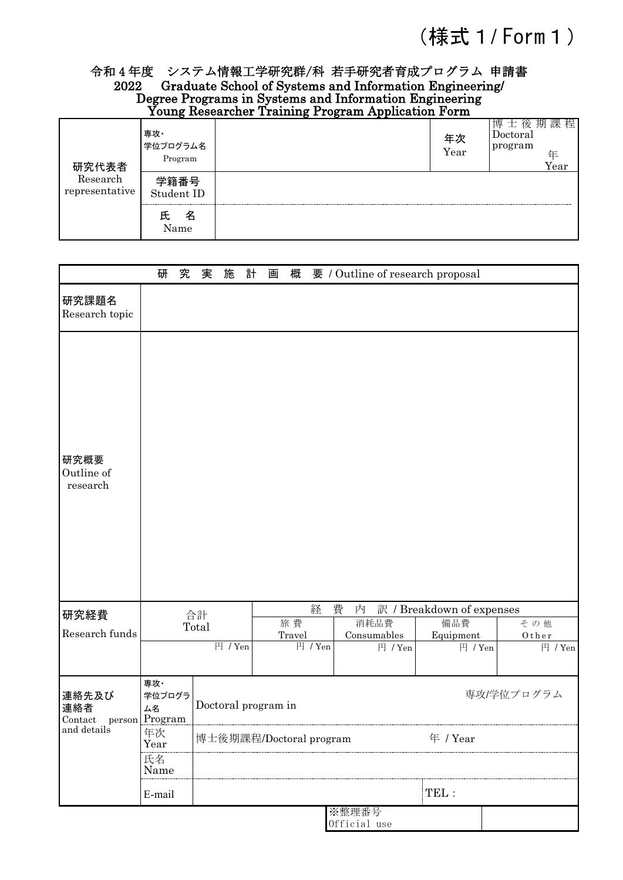# (様式 1 / Form 1)

# 令和 4 年度 システム情報工学研究群/科 若手研究者育成プログラム 申請書 2022 Graduate School of Systems and Information Engineering/ Degree Programs in Systems and Information Engineering Young Researcher Training Program Application Form

| 研究代表者<br>Research<br>representative | 専攻・<br>学位プログラム名<br>Program | 年次<br>Year | 課 程<br>虫<br>剔<br>伢<br>$\rm Doctoral$<br>program<br>任<br>Year |
|-------------------------------------|----------------------------|------------|--------------------------------------------------------------|
|                                     | 学籍番号<br>Student ID         |            |                                                              |
|                                     | 名<br>ᆬ<br>Name             |            |                                                              |

|                                           | 研                          | 究 | 実                                   | 施                   | 計 | 画 | 概      |         |   | 要 / Outline of research proposal |                                  |  |                  |
|-------------------------------------------|----------------------------|---|-------------------------------------|---------------------|---|---|--------|---------|---|----------------------------------|----------------------------------|--|------------------|
| 研究課題名<br>Research topic                   |                            |   |                                     |                     |   |   |        |         |   |                                  |                                  |  |                  |
| 研究概要<br>Outline of<br>research            |                            |   |                                     |                     |   |   |        |         |   |                                  |                                  |  |                  |
| 研究経費                                      |                            |   | 合計                                  |                     |   |   | 旅費     | 経       | 費 | 内<br>消耗品費                        | 訳 / Breakdown of expenses<br>備品費 |  | その他              |
| Research funds                            |                            |   | Total                               |                     |   |   | Travel |         |   | Consumables                      | Equipment                        |  | Other            |
|                                           |                            |   |                                     | 円 / Yen             |   |   |        | 円 / Yen |   | 円 / Yen                          | 円 / Yen                          |  | $\boxplus$ / Yen |
| 連絡先及び<br>連絡者<br>person Program<br>Context | 専攻·<br>学位プログラ<br><b>ム名</b> |   |                                     | Doctoral program in |   |   |        |         |   |                                  | 専攻/学位プログラム                       |  |                  |
| and details                               | 年次<br>Year                 |   | 博士後期課程/Doctoral program<br>年 / Year |                     |   |   |        |         |   |                                  |                                  |  |                  |
|                                           | 氏名<br>Name                 |   |                                     |                     |   |   |        |         |   |                                  |                                  |  |                  |
|                                           | E-mail                     |   |                                     |                     |   |   |        |         |   |                                  | TEL:                             |  |                  |
|                                           |                            |   |                                     |                     |   |   |        |         |   | ※整理番号<br>Official use            |                                  |  |                  |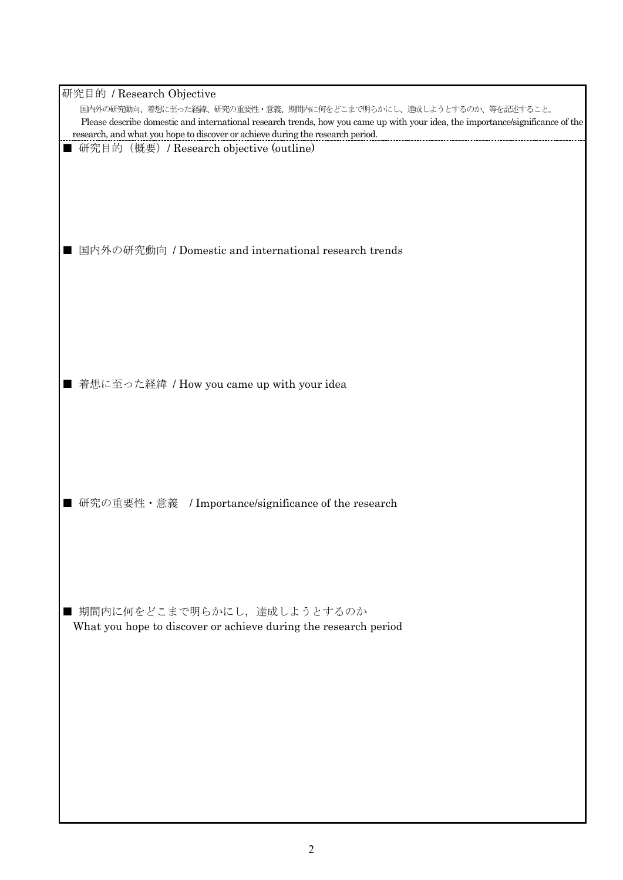| 研究目的 / Research Objective                                                                                                      |
|--------------------------------------------------------------------------------------------------------------------------------|
| 国内外の研究動向、着想に至った経緯、研究の重要性・意義、期間内に何をどこまで明らかにし、達成しようとするのか、等を記述すること。                                                               |
| Please describe domestic and international research trends, how you came up with your idea, the importance/significance of the |
| research, and what you hope to discover or achieve during the research period.<br>研究目的 (概要) / Research objective (outline)     |
|                                                                                                                                |
|                                                                                                                                |
|                                                                                                                                |
|                                                                                                                                |
|                                                                                                                                |
| 国内外の研究動向 / Domestic and international research trends                                                                          |
|                                                                                                                                |
|                                                                                                                                |
|                                                                                                                                |
|                                                                                                                                |
|                                                                                                                                |
|                                                                                                                                |
|                                                                                                                                |
| ■ 着想に至った経緯 / How you came up with your idea                                                                                    |
|                                                                                                                                |
|                                                                                                                                |
|                                                                                                                                |
|                                                                                                                                |
|                                                                                                                                |
|                                                                                                                                |
|                                                                                                                                |
| ■ 研究の重要性・意義 / Importance/significance of the research                                                                          |
|                                                                                                                                |
|                                                                                                                                |
|                                                                                                                                |
|                                                                                                                                |
|                                                                                                                                |
| ■ 期間内に何をどこまで明らかにし、達成しようとするのか                                                                                                   |
| What you hope to discover or achieve during the research period                                                                |
|                                                                                                                                |
|                                                                                                                                |
|                                                                                                                                |
|                                                                                                                                |
|                                                                                                                                |
|                                                                                                                                |
|                                                                                                                                |
|                                                                                                                                |
|                                                                                                                                |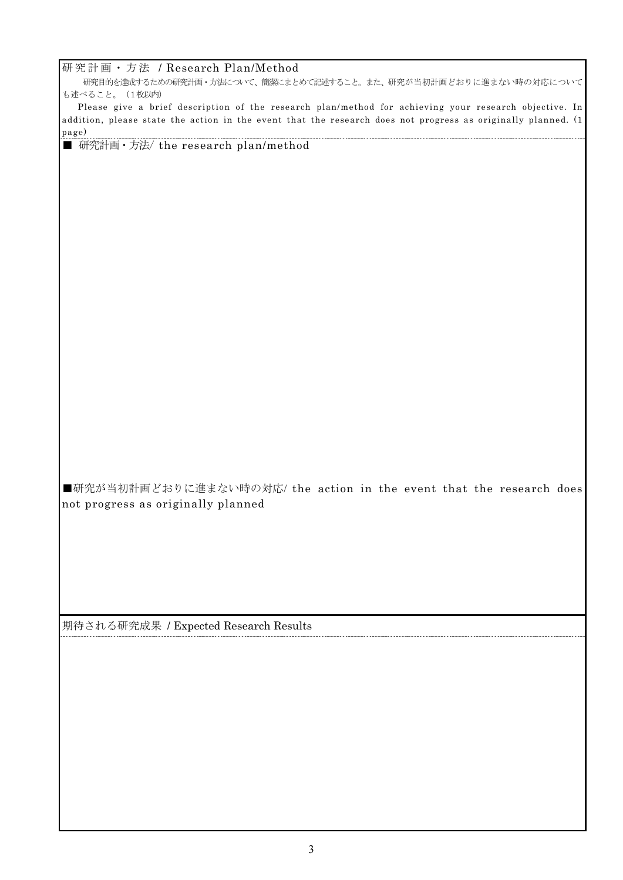#### 研究計画・方法 / Research Plan/Method

研究目的を達成するための研究計画・方法について、簡潔にまとめて記述すること。また、研究が当初計画どおりに進まない時の対応について も述べること。 (1枚以内)

 Please give a brief description of the research plan/method for achieving your research objective. In addition, please state the action in the event that the research does not progress as originally planned. (1 page)

■ 研究計画 · 方法/ the research plan/method

■研究が当初計画どおりに進まない時の対応/ the action in the event that the research does not progress as originally planned

期待される研究成果 / Expected Research Results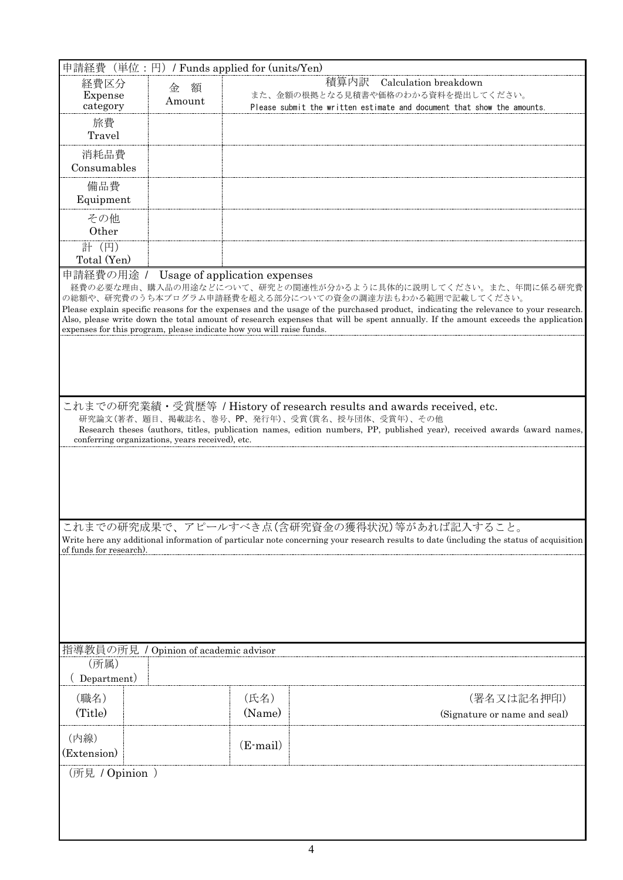| 申請経費(単位:円)/ Funds applied for (units/Yen)                            |                                                 |            |                                                                                                                                                                            |  |  |  |
|----------------------------------------------------------------------|-------------------------------------------------|------------|----------------------------------------------------------------------------------------------------------------------------------------------------------------------------|--|--|--|
| 経費区分                                                                 | 額<br>金                                          |            | 積算内訳<br>Calculation breakdown                                                                                                                                              |  |  |  |
| Expense                                                              | Amount                                          |            | また、金額の根拠となる見積書や価格のわかる資料を提出してください。                                                                                                                                          |  |  |  |
| category                                                             |                                                 |            | Please submit the written estimate and document that show the amounts.                                                                                                     |  |  |  |
| 旅費                                                                   |                                                 |            |                                                                                                                                                                            |  |  |  |
| Travel                                                               |                                                 |            |                                                                                                                                                                            |  |  |  |
| 消耗品費                                                                 |                                                 |            |                                                                                                                                                                            |  |  |  |
| Consumables                                                          |                                                 |            |                                                                                                                                                                            |  |  |  |
| 備品費                                                                  |                                                 |            |                                                                                                                                                                            |  |  |  |
| Equipment                                                            |                                                 |            |                                                                                                                                                                            |  |  |  |
| その他                                                                  |                                                 |            |                                                                                                                                                                            |  |  |  |
| Other                                                                |                                                 |            |                                                                                                                                                                            |  |  |  |
| 計 (円)                                                                |                                                 |            |                                                                                                                                                                            |  |  |  |
| Total (Yen)                                                          |                                                 |            |                                                                                                                                                                            |  |  |  |
| 申請経費の用途 / Usage of application expenses                              |                                                 |            |                                                                                                                                                                            |  |  |  |
|                                                                      |                                                 |            | 経費の必要な理由、購入品の用途などについて、研究との関連性が分かるように具体的に説明してください。また、年間に係る研究費<br>の総額や、研究費のうち本プログラム申請経費を超える部分についての資金の調達方法もわかる範囲で記載してください。                                                    |  |  |  |
|                                                                      |                                                 |            | Please explain specific reasons for the expenses and the usage of the purchased product, indicating the relevance to your research.                                        |  |  |  |
|                                                                      |                                                 |            | Also, please write down the total amount of research expenses that will be spent annually. If the amount exceeds the application                                           |  |  |  |
| expenses for this program, please indicate how you will raise funds. |                                                 |            |                                                                                                                                                                            |  |  |  |
|                                                                      |                                                 |            |                                                                                                                                                                            |  |  |  |
|                                                                      |                                                 |            |                                                                                                                                                                            |  |  |  |
|                                                                      |                                                 |            |                                                                                                                                                                            |  |  |  |
|                                                                      |                                                 |            |                                                                                                                                                                            |  |  |  |
|                                                                      |                                                 |            | これまでの研究業績・受賞歴等 / History of research results and awards received, etc.                                                                                                     |  |  |  |
|                                                                      |                                                 |            | 研究論文(著者、題目、掲載誌名、巻号、PP、発行年)、受賞(賞名、授与団体、受賞年)、その他<br>Research theses (authors, titles, publication names, edition numbers, PP, published year), received awards (award names, |  |  |  |
|                                                                      | conferring organizations, years received), etc. |            |                                                                                                                                                                            |  |  |  |
|                                                                      |                                                 |            |                                                                                                                                                                            |  |  |  |
|                                                                      |                                                 |            |                                                                                                                                                                            |  |  |  |
|                                                                      |                                                 |            |                                                                                                                                                                            |  |  |  |
|                                                                      |                                                 |            |                                                                                                                                                                            |  |  |  |
|                                                                      |                                                 |            |                                                                                                                                                                            |  |  |  |
|                                                                      |                                                 |            | これまでの研究成果で、アピールすべき点(含研究資金の獲得状況)等があれば記入すること。                                                                                                                                |  |  |  |
|                                                                      |                                                 |            | Write here any additional information of particular note concerning your research results to date (including the status of acquisition                                     |  |  |  |
| of funds for research)                                               |                                                 |            |                                                                                                                                                                            |  |  |  |
|                                                                      |                                                 |            |                                                                                                                                                                            |  |  |  |
|                                                                      |                                                 |            |                                                                                                                                                                            |  |  |  |
|                                                                      |                                                 |            |                                                                                                                                                                            |  |  |  |
|                                                                      |                                                 |            |                                                                                                                                                                            |  |  |  |
|                                                                      |                                                 |            |                                                                                                                                                                            |  |  |  |
|                                                                      |                                                 |            |                                                                                                                                                                            |  |  |  |
| 指導教員の所見 / Opinion of academic advisor                                |                                                 |            |                                                                                                                                                                            |  |  |  |
| (所属)                                                                 |                                                 |            |                                                                                                                                                                            |  |  |  |
| Department)                                                          |                                                 |            |                                                                                                                                                                            |  |  |  |
| (職名)                                                                 |                                                 | (氏名)       | (署名又は記名押印)                                                                                                                                                                 |  |  |  |
| (Title)                                                              |                                                 | (Name)     | (Signature or name and seal)                                                                                                                                               |  |  |  |
|                                                                      |                                                 |            |                                                                                                                                                                            |  |  |  |
| (内線)                                                                 |                                                 | $(E-mail)$ |                                                                                                                                                                            |  |  |  |
| (Extension)                                                          |                                                 |            |                                                                                                                                                                            |  |  |  |
| (所見 / Opinion )                                                      |                                                 |            |                                                                                                                                                                            |  |  |  |
|                                                                      |                                                 |            |                                                                                                                                                                            |  |  |  |
|                                                                      |                                                 |            |                                                                                                                                                                            |  |  |  |
|                                                                      |                                                 |            |                                                                                                                                                                            |  |  |  |
|                                                                      |                                                 |            |                                                                                                                                                                            |  |  |  |

4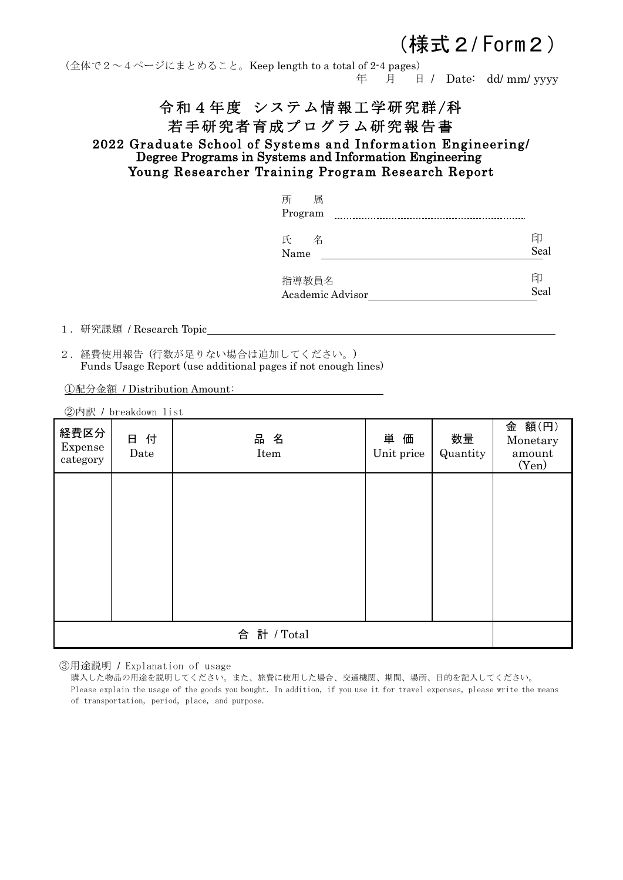# (様式2/ Form2)

(全体で2~4ページにまとめること。Keep length to a total of 2-4 pages) 年 月 日 / Date: dd/ mm/ yyyy

# 令和4年度 システム情報工学研究群/科 若手研究者育成プログラム研究報告書

2022 Graduate School of Systems and Information Engineering/ Degree Programs in Systems and Information Engineering Young Researcher Training Program Research Report

| 所<br>属                    |           |
|---------------------------|-----------|
| Program                   |           |
| 氏<br>名<br>Name            | 印<br>Seal |
| 指導教員名<br>Academic Advisor | 印<br>Seal |

1.研究課題 / Research Topic

2.経費使用報告 (行数が足りない場合は追加してください。) Funds Usage Report (use additional pages if not enough lines)

①配分金額 / Distribution Amount:

|                             | ②内訳 / breakdown list |             |                  |                |                                       |
|-----------------------------|----------------------|-------------|------------------|----------------|---------------------------------------|
| 経費区分<br>Expense<br>category | 日付<br>Date           | 品名<br>Item  | 単価<br>Unit price | 数量<br>Quantity | 金 額(円)<br>Monetary<br>amount<br>(Yen) |
|                             |                      |             |                  |                |                                       |
|                             |                      |             |                  |                |                                       |
|                             |                      |             |                  |                |                                       |
|                             |                      |             |                  |                |                                       |
|                             |                      |             |                  |                |                                       |
|                             |                      |             |                  |                |                                       |
|                             |                      | 合 計 / Total |                  |                |                                       |

③用途説明 / Explanation of usage

購入した物品の用途を説明してください。また、旅費に使用した場合、交通機関、期間、場所、目的を記入してください。 Please explain the usage of the goods you bought. In addition, if you use it for travel expenses, please write the means of transportation, period, place, and purpose.